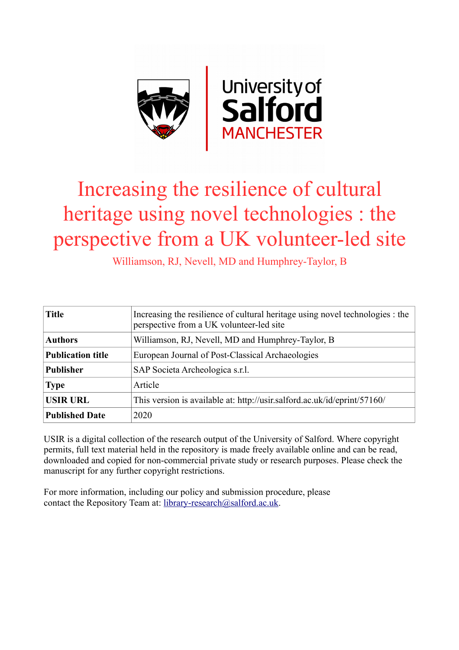

## Increasing the resilience of cultural heritage using novel technologies : the perspective from a UK volunteer-led site

Williamson, RJ, Nevell, MD and Humphrey-Taylor, B

| <b>Title</b>             | Increasing the resilience of cultural heritage using novel technologies : the<br>perspective from a UK volunteer-led site |
|--------------------------|---------------------------------------------------------------------------------------------------------------------------|
| <b>Authors</b>           | Williamson, RJ, Nevell, MD and Humphrey-Taylor, B                                                                         |
| <b>Publication title</b> | European Journal of Post-Classical Archaeologies                                                                          |
| <b>Publisher</b>         | SAP Societa Archeologica s.r.l.                                                                                           |
| <b>Type</b>              | Article                                                                                                                   |
| <b>USIR URL</b>          | This version is available at: http://usir.salford.ac.uk/id/eprint/57160/                                                  |
| <b>Published Date</b>    | 2020                                                                                                                      |

USIR is a digital collection of the research output of the University of Salford. Where copyright permits, full text material held in the repository is made freely available online and can be read, downloaded and copied for non-commercial private study or research purposes. Please check the manuscript for any further copyright restrictions.

For more information, including our policy and submission procedure, please contact the Repository Team at: [library-research@salford.ac.uk.](mailto:library-research@salford.ac.uk)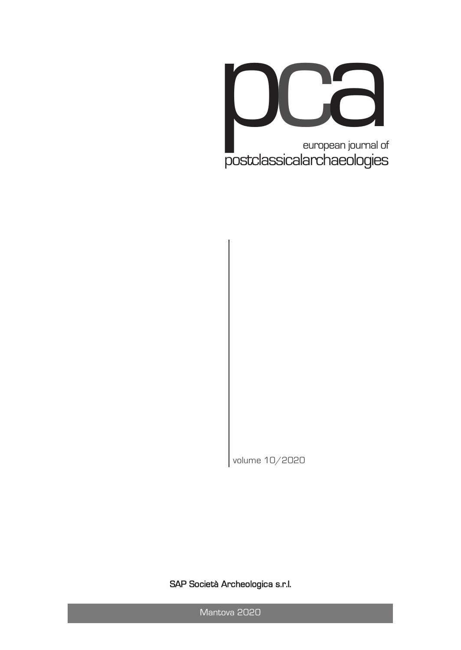

volume 10/2020

SAP Società Archeologica s.r.l.

Mantova 2020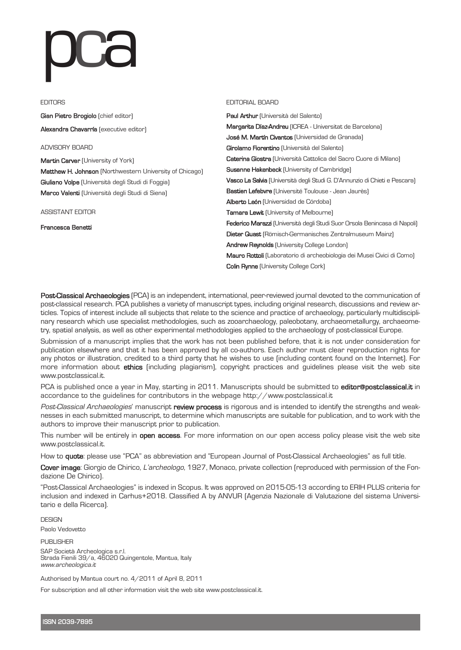# JUC

#### **EDITORS**

Gian Pietro Brogiolo (chief editor)

Alexandra Chavarría (executive editor)

ADVISORY BOARD

Martin Carver (University of York) Matthew H. Johnson (Northwestern University of Chicago) Giuliano Volpe (Università degli Studi di Foggia) Marco Valenti (Università degli Studi di Siena)

ASSISTANT EDITOR

Francesca Benetti

#### EDITORIAL BOARD

Paul Arthur (Università del Salento) Margarita Díaz-Andreu (ICREA - Universitat de Barcelona) José M. Martín Civantos (Universidad de Granada) Girolamo Fiorentino (Università del Salento) Caterina Giostra (Università Cattolica del Sacro Cuore di Milano) Susanne Hakenbeck (University of Cambridge) Vasco La Salvia (Università degli Studi G. D'Annunzio di Chieti e Pescara) Bastien Lefebvre (Université Toulouse - Jean Jaurès) Alberto León (Universidad de Córdoba) Tamara Lewit (University of Melbourne) Federico Marazzi (Università degli Studi Suor Orsola Benincasa di Napoli) Dieter Quast (Römisch-Germanisches Zentralmuseum Mainz) Andrew Reynolds (University College London) Mauro Rottoli (Laboratorio di archeobiologia dei Musei Civici di Como) Colin Rynne (University College Cork)

Post-Classical Archaeologies (PCA) is an independent, international, peer-reviewed journal devoted to the communication of post-classical research. PCA publishes a variety of manuscript types, including original research, discussions and review articles. Topics of interest include all subjects that relate to the science and practice of archaeology, particularly multidisciplinary research which use specialist methodologies, such as zooarchaeology, paleobotany, archaeometallurgy, archaeometry, spatial analysis, as well as other experimental methodologies applied to the archaeology of post-classical Europe.

Submission of a manuscript implies that the work has not been published before, that it is not under consideration for publication elsewhere and that it has been approved by all co-authors. Each author must clear reproduction rights for any photos or illustration, credited to a third party that he wishes to use (including content found on the Internet). For more information about ethics (including plagiarism), copyright practices and guidelines please visit the web site www.postclassical.it.

PCA is published once a year in May, starting in 2011. Manuscripts should be submitted to editor @postclassical.it in accordance to the guidelines for contributors in the webpage http://www.postclassical.it

Post-Classical Archaeologies' manuscript review process is rigorous and is intended to identify the strengths and weaknesses in each submitted manuscript, to determine which manuscripts are suitable for publication, and to work with the authors to improve their manuscript prior to publication.

This number will be entirely in **open access**. For more information on our open access policy please visit the web site www.postclassical.it.

How to quote: please use "PCA" as abbreviation and "European Journal of Post-Classical Archaeologies" as full title.

Cover image: Giorgio de Chirico, L'archeologo, 1927, Monaco, private collection (reproduced with permission of the Fondazione De Chirico).

"Post-Classical Archaeologies" is indexed in Scopus. It was approved on 2015-05-13 according to ERIH PLUS criteria for inclusion and indexed in Carhus+2018. Classified A by ANVUR (Agenzia Nazionale di Valutazione del sistema Universitario e della Ricerca).

DESIGN

Paolo Vedovetto

PUBLISHER SAP Società Archeologica s.r.l. Strada Fienili 39/a, <sup>46020</sup> Quingentole, Mantua, Italy www.archeologica.it

Authorised by Mantua court no. 4/2011 of April 8, 2011

For subscription and all other information visit the web site www.postclassical.it.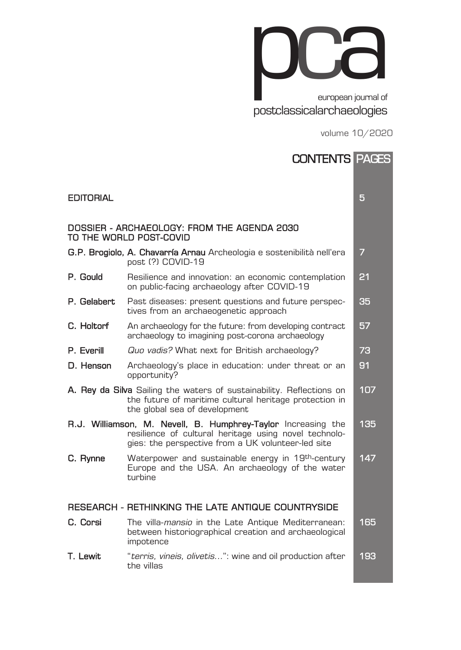

volume 10/2020

|                                                                        | <b>CONTENTS PAGES</b>                                                                                                                                                        |     |  |
|------------------------------------------------------------------------|------------------------------------------------------------------------------------------------------------------------------------------------------------------------------|-----|--|
| <b>EDITORIAL</b>                                                       |                                                                                                                                                                              | 5   |  |
| DOSSIER - ARCHAEOLOGY: FROM THE AGENDA 2030<br>TO THE WORLD POST-COVID |                                                                                                                                                                              |     |  |
|                                                                        | G.P. Brogiolo, A. Chavarría Arnau Archeologia e sostenibilità nell'era<br>post (?) COVID-19                                                                                  | 7   |  |
| P. Gould                                                               | Resilience and innovation: an economic contemplation<br>on public-facing archaeology after COVID-19                                                                          | 21  |  |
| P. Gelabert                                                            | Past diseases: present questions and future perspec-<br>tives from an archaeogenetic approach                                                                                | 35  |  |
| C. Holtorf                                                             | An archaeology for the future: from developing contract<br>archaeology to imagining post-corona archaeology                                                                  | 57  |  |
| P. Everill                                                             | Quo vadis? What next for British archaeology?                                                                                                                                | 73  |  |
| D. Henson                                                              | Archaeology's place in education: under threat or an<br>opportunity?                                                                                                         | 91  |  |
|                                                                        | A. Rey da Silva Sailing the waters of sustainability. Reflections on<br>the future of maritime cultural heritage protection in<br>the global sea of development              | 107 |  |
|                                                                        | R.J. Williamson, M. Nevell, B. Humphrey-Taylor Increasing the<br>resilience of cultural heritage using novel technolo-<br>gies: the perspective from a UK volunteer-led site | 135 |  |
| C. Rynne                                                               | Waterpower and sustainable energy in 19th-century<br>Europe and the USA. An archaeology of the water<br>turbine                                                              | 147 |  |
| RESEARCH - RETHINKING THE LATE ANTIQUE COUNTRYSIDE                     |                                                                                                                                                                              |     |  |
| C. Corsi                                                               | The villa- <i>mansio</i> in the Late Antique Mediterranean:<br>between historiographical creation and archaeological<br>impotence                                            | 165 |  |
| T. Lewit                                                               | "terris, vineis, olivetis": wine and oil production after<br>the villas                                                                                                      | 193 |  |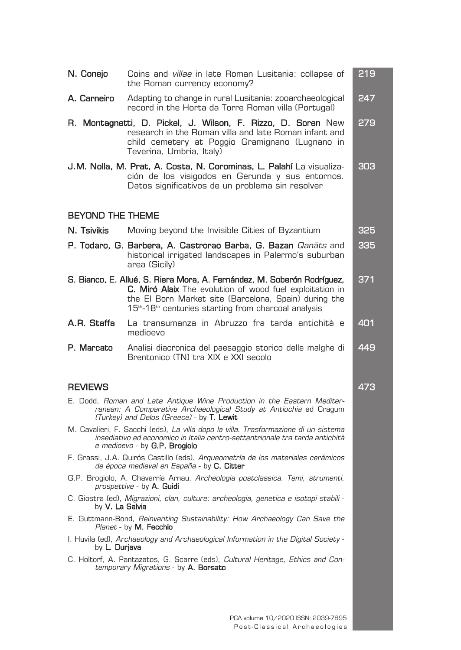| N. Conejo                                                                                                                                                                                 | Coins and villae in late Roman Lusitania: collapse of<br>the Roman currency economy?                                                                                                                                                                                         | 219 |
|-------------------------------------------------------------------------------------------------------------------------------------------------------------------------------------------|------------------------------------------------------------------------------------------------------------------------------------------------------------------------------------------------------------------------------------------------------------------------------|-----|
| A. Carneiro                                                                                                                                                                               | Adapting to change in rural Lusitania: zooarchaeological<br>record in the Horta da Torre Roman villa (Portugal)                                                                                                                                                              | 247 |
|                                                                                                                                                                                           | R. Montagnetti, D. Pickel, J. Wilson, F. Rizzo, D. Soren New<br>research in the Roman villa and late Roman infant and<br>child cemetery at Poggio Gramignano (Lugnano in<br>Teverina, Umbria, Italy)                                                                         | 279 |
|                                                                                                                                                                                           | J.M. Nolla, M. Prat, A. Costa, N. Corominas, L. Palahí La visualiza-<br>ción de los visigodos en Gerunda y sus entornos.<br>Datos significativos de un problema sin resolver                                                                                                 | 303 |
| <b>BEYOND THE THEME</b>                                                                                                                                                                   |                                                                                                                                                                                                                                                                              |     |
| N. Tsivikis                                                                                                                                                                               | Moving beyond the Invisible Cities of Byzantium                                                                                                                                                                                                                              | 325 |
|                                                                                                                                                                                           | <b>P. Todaro, G. Barbera, A. Castrorao Barba, G. Bazan</b> <i>Qanāts</i> and<br>historical irrigated landscapes in Palermo's suburban<br>area (Sicily)                                                                                                                       | 335 |
|                                                                                                                                                                                           | S. Bianco, E. Allué, S. Riera Mora, A. Fernández, M. Soberón Rodríguez,<br>C. Miró Alaix The evolution of wood fuel exploitation in<br>the El Born Market site (Barcelona, Spain) during the<br>15 <sup>th</sup> -18 <sup>th</sup> centuries starting from charcoal analysis | 371 |
| A.R. Staffa                                                                                                                                                                               | La transumanza in Abruzzo fra tarda antichità e<br>medioevo                                                                                                                                                                                                                  | 401 |
| P. Marcato                                                                                                                                                                                | Analisi diacronica del paesaggio storico delle malghe di<br>Brentonico (TN) tra XIX e XXI secolo                                                                                                                                                                             | 449 |
| <b>REVIEWS</b>                                                                                                                                                                            |                                                                                                                                                                                                                                                                              | 473 |
| E. Dodd, Roman and Late Antique Wine Production in the Eastern Mediter-<br>ranean: A Comparative Archaeological Study at Antiochia ad Cragum<br>(Turkey) and Delos (Greece) - by T. Lewit |                                                                                                                                                                                                                                                                              |     |
|                                                                                                                                                                                           | M. Cavalieri, F. Sacchi (eds), La villa dopo la villa. Trasformazione di un sistema<br>insediativo ed economico in Italia centro-settentrionale tra tarda antichità<br>e medioevo - by G.P. Brogiolo                                                                         |     |
|                                                                                                                                                                                           | F. Grassi, J.A. Quirós Castillo (eds), Argueometría de los materiales cerámicos<br>de época medieval en España - by C. Citter                                                                                                                                                |     |
|                                                                                                                                                                                           | G.P. Brogiolo, A. Chavarría Arnau, Archeologia postclassica. Temi, strumenti,<br>prospettive - by A. Guidi                                                                                                                                                                   |     |
| by <b>V. La Salvia</b>                                                                                                                                                                    | C. Giostra (ed), Migrazioni, clan, culture: archeologia, genetica e isotopi stabili -                                                                                                                                                                                        |     |
|                                                                                                                                                                                           | E. Guttmann-Bond, <i>Reinventing Sustainability: How Archaeology Can Save the</i><br><i>Planet</i> - by <b>M. Fecchio</b>                                                                                                                                                    |     |
| by <b>L. Durjava</b>                                                                                                                                                                      | l. Huvila (ed), <i>Archaeology and Archaeological Information in the Digital Society -</i>                                                                                                                                                                                   |     |
| C. Holtorf, A. Pantazatos, G. Scarre (eds), Cultural Heritage, Ethics and Con-<br><i>temporary Migrations -</i> by <b>A. Borsato</b>                                                      |                                                                                                                                                                                                                                                                              |     |
|                                                                                                                                                                                           |                                                                                                                                                                                                                                                                              |     |
|                                                                                                                                                                                           |                                                                                                                                                                                                                                                                              |     |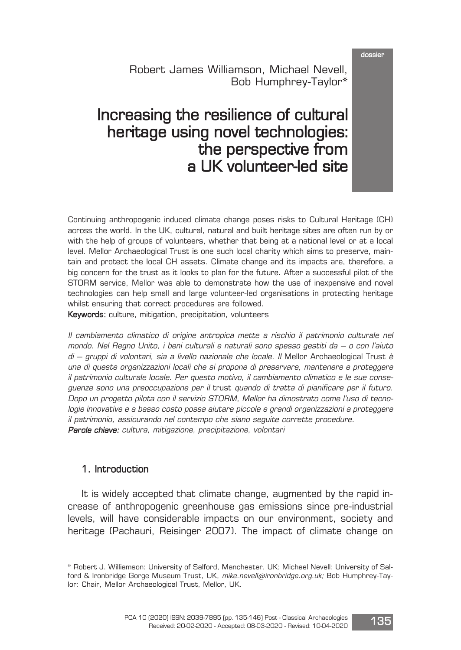dossier

Robert James Williamson, Michael Nevell, Bob Humphrey-Taylor\*

### Increasing the resilience of cultural heritage using novel technologies: the perspective from a UK volunteer-led site

Continuing anthropogenic induced climate change poses risks to Cultural Heritage (CH) across the world. In the UK, cultural, natural and built heritage sites are often run by or with the help of groups of volunteers, whether that being at a national level or at a local level. Mellor Archaeological Trust is one such local charity which aims to preserve, maintain and protect the local CH assets. Climate change and its impacts are, therefore, a big concern for the trust as it looks to plan for the future. After a successful pilot of the STORM service, Mellor was able to demonstrate how the use of inexpensive and novel technologies can help small and large volunteer-led organisations in protecting heritage whilst ensuring that correct procedures are followed.

Keywords: culture, mitigation, precipitation, volunteers

Il cambiamento climatico di origine antropica mette <sup>a</sup> rischio il patrimonio culturale nel mondo. Nel Regno Unito, i beni culturali <sup>e</sup> naturali sono spesso gestiti da – <sup>o</sup> con l'aiuto di – gruppi di volontari, sia a livello nazionale che locale. Il Mellor Archaeological Trust è una di queste organizzazioni locali che si propone di preservare, mantenere <sup>e</sup> proteggere il patrimonio culturale locale. Per questo motivo, il cambiamento climatico <sup>e</sup> le sue conseguenze sono una preoccupazione per il trust quando di tratta di pianificare per il futuro. Dopo un progetto pilota con il servizio STORM, Mellor ha dimostrato come l'uso di tecnologie innovative <sup>e</sup> <sup>a</sup> basso costo possa aiutare piccole <sup>e</sup> grandi organizzazioni <sup>a</sup> proteggere il patrimonio, assicurando nel contempo che siano seguite corrette procedure. Parole chiave: cultura, mitigazione, precipitazione, volontari

#### 1. Introduction

It is widely accepted that climate change, augmented by the rapid increase of anthropogenic greenhouse gas emissions since pre-industrial levels, will have considerable impacts on our environment, society and heritage (Pachauri, Reisinger 2007). The impact of climate change on



<sup>\*</sup> Robert J. Williamson: University of Salford, Manchester, UK; Michael Nevell: University of Salford & Ironbridge Gorge Museum Trust, UK, mike.nevell@ironbridge.org.uk; Bob Humphrey-Taylor: Chair, Mellor Archaeological Trust, Mellor, UK.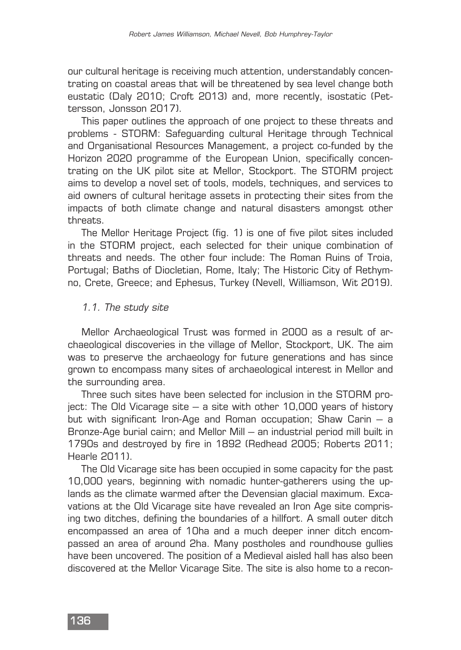our cultural heritage is receiving much attention, understandably concentrating on coastal areas that will be threatened by sea level change both eustatic (Daly 2010; Croft 2013) and, more recently, isostatic (Pettersson, Jonsson 2017).

This paper outlines the approach of one project to these threats and problems - STORM: Safeguarding cultural Heritage through Technical and Organisational Resources Management, a project co-funded by the Horizon 2020 programme of the European Union, specifically concentrating on the UK pilot site at Mellor, Stockport. The STORM project aims to develop a novel set of tools, models, techniques, and services to aid owners of cultural heritage assets in protecting their sites from the impacts of both climate change and natural disasters amongst other threats.

The Mellor Heritage Project (fig. 1) is one of five pilot sites included in the STORM project, each selected for their unique combination of threats and needs. The other four include: The Roman Ruins of Troia, Portugal; Baths of Diocletian, Rome, Italy; The Historic City of Rethymno, Crete, Greece; and Ephesus, Turkey (Nevell, Williamson, Wit 2019).

#### 1.1. The study site

Mellor Archaeological Trust was formed in 2000 as a result of archaeological discoveries in the village of Mellor, Stockport, UK. The aim was to preserve the archaeology for future generations and has since grown to encompass many sites of archaeological interest in Mellor and the surrounding area.

Three such sites have been selected for inclusion in the STORM project: The Old Vicarage site – a site with other 10,000 years of history but with significant Iron-Age and Roman occupation; Shaw Carin – a Bronze-Age burial cairn; and Mellor Mill – an industrial period mill built in 1790s and destroyed by fire in 1892 (Redhead 2005; Roberts 2011; Hearle 2011).

The Old Vicarage site has been occupied in some capacity for the past 10,000 years, beginning with nomadic hunter-gatherers using the uplands as the climate warmed after the Devensian glacial maximum. Excavations at the Old Vicarage site have revealed an Iron Age site comprising two ditches, defining the boundaries of a hillfort. A small outer ditch encompassed an area of 10ha and a much deeper inner ditch encompassed an area of around 2ha. Many postholes and roundhouse gullies have been uncovered. The position of a Medieval aisled hall has also been discovered at the Mellor Vicarage Site. The site is also home to a recon-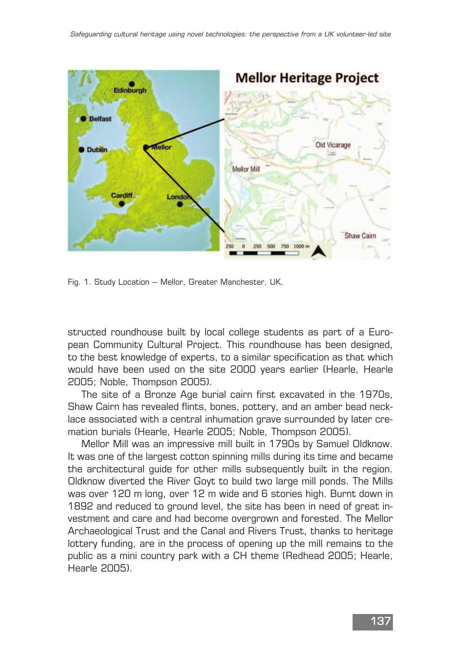

Fig. 1. Study Location – Mellor, Greater Manchester, UK.

structed roundhouse built by local college students as part of a European Community Cultural Project. This roundhouse has been designed, to the best knowledge of experts, to a similar specification as that which would have been used on the site 2000 years earlier (Hearle, Hearle 2005; Noble, Thompson 2005).

The site of a Bronze Age burial cairn first excavated in the 1970s, Shaw Cairn has revealed flints, bones, pottery, and an amber bead necklace associated with a central inhumation grave surrounded by later cremation burials (Hearle, Hearle 2005; Noble, Thompson 2005).

Mellor Mill was an impressive mill built in 1790s by Samuel Oldknow. It was one of the largest cotton spinning mills during its time and became the architectural guide for other mills subsequently built in the region. Oldknow diverted the River Goyt to build two large mill ponds. The Mills was over 120 m long, over 12 m wide and 6 stories high. Burnt down in 1892 and reduced to ground level, the site has been in need of great investment and care and had become overgrown and forested. The Mellor Archaeological Trust and the Canal and Rivers Trust, thanks to heritage lottery funding, are in the process of opening up the mill remains to the public as a mini country park with a CH theme (Redhead 2005; Hearle, Hearle 2005).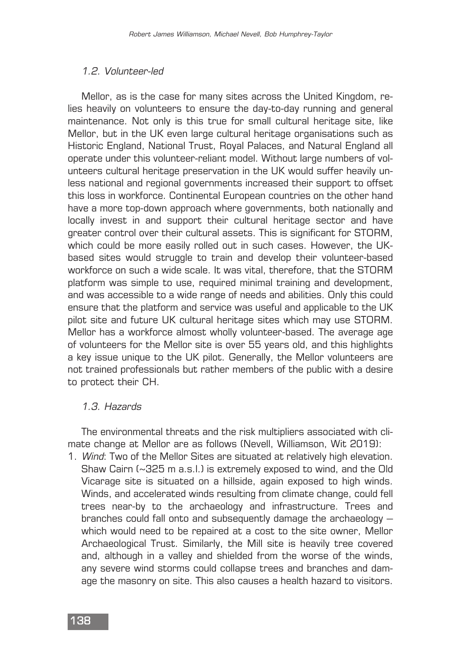#### 1.2. Volunteer-led

Mellor, as is the case for many sites across the United Kingdom, relies heavily on volunteers to ensure the day-to-day running and general maintenance. Not only is this true for small cultural heritage site, like Mellor, but in the UK even large cultural heritage organisations such as Historic England, National Trust, Royal Palaces, and Natural England all operate under this volunteer-reliant model. Without large numbers of volunteers cultural heritage preservation in the UK would suffer heavily unless national and regional governments increased their support to offset this loss in workforce. Continental European countries on the other hand have a more top-down approach where governments, both nationally and locally invest in and support their cultural heritage sector and have greater control over their cultural assets. This is significant for STORM, which could be more easily rolled out in such cases. However, the UKbased sites would struggle to train and develop their volunteer-based workforce on such a wide scale. It was vital, therefore, that the STORM platform was simple to use, required minimal training and development, and was accessible to a wide range of needs and abilities. Only this could ensure that the platform and service was useful and applicable to the UK pilot site and future UK cultural heritage sites which may use STORM. Mellor has a workforce almost wholly volunteer-based. The average age of volunteers for the Mellor site is over 55 years old, and this highlights a key issue unique to the UK pilot. Generally, the Mellor volunteers are not trained professionals but rather members of the public with a desire to protect their CH.

#### 1.3. Hazards

The environmental threats and the risk multipliers associated with climate change at Mellor are as follows (Nevell, Williamson, Wit 2019):

1. Wind: Two of the Mellor Sites are situated at relatively high elevation. Shaw Cairn (~325 m a.s.l.) is extremely exposed to wind, and the Old Vicarage site is situated on a hillside, again exposed to high winds. Winds, and accelerated winds resulting from climate change, could fell trees near-by to the archaeology and infrastructure. Trees and branches could fall onto and subsequently damage the archaeology – which would need to be repaired at a cost to the site owner, Mellor Archaeological Trust. Similarly, the Mill site is heavily tree covered and, although in a valley and shielded from the worse of the winds, any severe wind storms could collapse trees and branches and damage the masonry on site. This also causes a health hazard to visitors.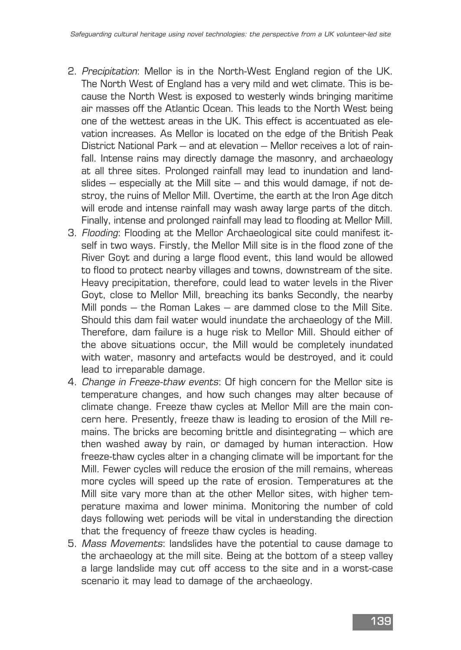- 2. Precipitation: Mellor is in the North-West England region of the UK. The North West of England has a very mild and wet climate. This is because the North West is exposed to westerly winds bringing maritime air masses off the Atlantic Ocean. This leads to the North West being one of the wettest areas in the UK. This effect is accentuated as elevation increases. As Mellor is located on the edge of the British Peak District National Park – and at elevation – Mellor receives a lot of rainfall. Intense rains may directly damage the masonry, and archaeology at all three sites. Prolonged rainfall may lead to inundation and landslides  $-$  especially at the Mill site  $-$  and this would damage, if not destroy, the ruins of Mellor Mill. Overtime, the earth at the Iron Age ditch will erode and intense rainfall may wash away large parts of the ditch. Finally, intense and prolonged rainfall may lead to flooding at Mellor Mill.
- 3. Flooding: Flooding at the Mellor Archaeological site could manifest itself in two ways. Firstly, the Mellor Mill site is in the flood zone of the River Goyt and during a large flood event, this land would be allowed to flood to protect nearby villages and towns, downstream of the site. Heavy precipitation, therefore, could lead to water levels in the River Goyt, close to Mellor Mill, breaching its banks Secondly, the nearby Mill ponds – the Roman Lakes – are dammed close to the Mill Site. Should this dam fail water would inundate the archaeology of the Mill. Therefore, dam failure is a huge risk to Mellor Mill. Should either of the above situations occur, the Mill would be completely inundated with water, masonry and artefacts would be destroyed, and it could lead to irreparable damage.
- 4. Change in Freeze-thaw events: Of high concern for the Mellor site is temperature changes, and how such changes may alter because of climate change. Freeze thaw cycles at Mellor Mill are the main concern here. Presently, freeze thaw is leading to erosion of the Mill remains. The bricks are becoming brittle and disintegrating – which are then washed away by rain, or damaged by human interaction. How freeze-thaw cycles alter in a changing climate will be important for the Mill. Fewer cycles will reduce the erosion of the mill remains, whereas more cycles will speed up the rate of erosion. Temperatures at the Mill site vary more than at the other Mellor sites, with higher temperature maxima and lower minima. Monitoring the number of cold days following wet periods will be vital in understanding the direction that the frequency of freeze thaw cycles is heading.
- 5. Mass Movements: landslides have the potential to cause damage to the archaeology at the mill site. Being at the bottom of a steep valley a large landslide may cut off access to the site and in a worst-case scenario it may lead to damage of the archaeology.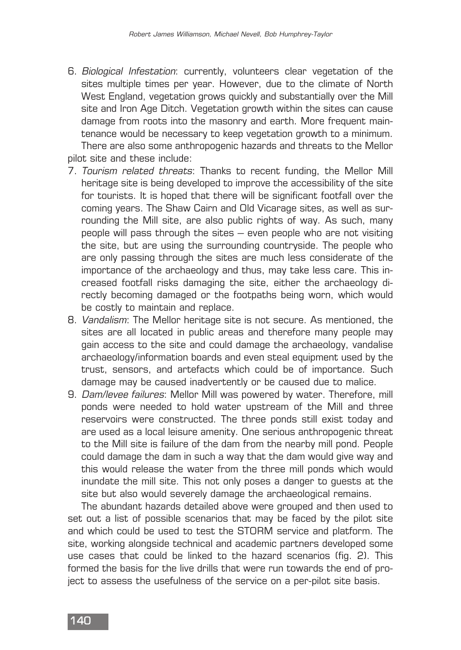- 6. Biological Infestation: currently, volunteers clear vegetation of the sites multiple times per year. However, due to the climate of North West England, vegetation grows quickly and substantially over the Mill site and Iron Age Ditch. Vegetation growth within the sites can cause damage from roots into the masonry and earth. More frequent maintenance would be necessary to keep vegetation growth to a minimum. There are also some anthropogenic hazards and threats to the Mellor pilot site and these include:
- 7. Tourism related threats: Thanks to recent funding, the Mellor Mill heritage site is being developed to improve the accessibility of the site for tourists. It is hoped that there will be significant footfall over the coming years. The Shaw Cairn and Old Vicarage sites, as well as surrounding the Mill site, are also public rights of way. As such, many people will pass through the sites – even people who are not visiting the site, but are using the surrounding countryside. The people who are only passing through the sites are much less considerate of the importance of the archaeology and thus, may take less care. This increased footfall risks damaging the site, either the archaeology directly becoming damaged or the footpaths being worn, which would be costly to maintain and replace.
- 8. Vandalism: The Mellor heritage site is not secure. As mentioned, the sites are all located in public areas and therefore many people may gain access to the site and could damage the archaeology, vandalise archaeology/information boards and even steal equipment used by the trust, sensors, and artefacts which could be of importance. Such damage may be caused inadvertently or be caused due to malice.
- 9. Dam/levee failures: Mellor Mill was powered by water. Therefore, mill ponds were needed to hold water upstream of the Mill and three reservoirs were constructed. The three ponds still exist today and are used as a local leisure amenity. One serious anthropogenic threat to the Mill site is failure of the dam from the nearby mill pond. People could damage the dam in such a way that the dam would give way and this would release the water from the three mill ponds which would inundate the mill site. This not only poses a danger to guests at the site but also would severely damage the archaeological remains.

The abundant hazards detailed above were grouped and then used to set out a list of possible scenarios that may be faced by the pilot site and which could be used to test the STORM service and platform. The site, working alongside technical and academic partners developed some use cases that could be linked to the hazard scenarios (fig. 2). This formed the basis for the live drills that were run towards the end of project to assess the usefulness of the service on a per-pilot site basis.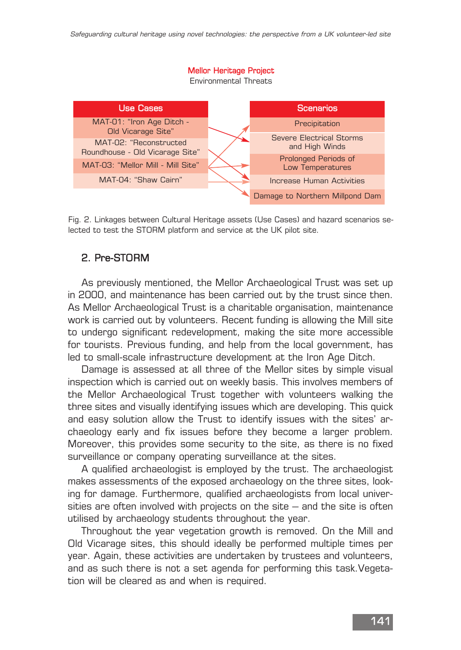#### Mellor Heritage Project

Environmental Threats



Fig. 2. Linkages between Cultural Heritage assets (Use Cases) and hazard scenarios selected to test the STORM platform and service at the UK pilot site.

#### 2. Pre-STORM

As previously mentioned, the Mellor Archaeological Trust was set up in 2000, and maintenance has been carried out by the trust since then. As Mellor Archaeological Trust is a charitable organisation, maintenance work is carried out by volunteers. Recent funding is allowing the Mill site to undergo significant redevelopment, making the site more accessible for tourists. Previous funding, and help from the local government, has led to small-scale infrastructure development at the Iron Age Ditch.

Damage is assessed at all three of the Mellor sites by simple visual inspection which is carried out on weekly basis. This involves members of the Mellor Archaeological Trust together with volunteers walking the three sites and visually identifying issues which are developing. This quick and easy solution allow the Trust to identify issues with the sites' archaeology early and fix issues before they become a larger problem. Moreover, this provides some security to the site, as there is no fixed surveillance or company operating surveillance at the sites.

A qualified archaeologist is employed by the trust. The archaeologist makes assessments of the exposed archaeology on the three sites, looking for damage. Furthermore, qualified archaeologists from local universities are often involved with projects on the site  $-$  and the site is often utilised by archaeology students throughout the year.

Throughout the year vegetation growth is removed. On the Mill and Old Vicarage sites, this should ideally be performed multiple times per year. Again, these activities are undertaken by trustees and volunteers, and as such there is not a set agenda for performing this task.Vegetation will be cleared as and when is required.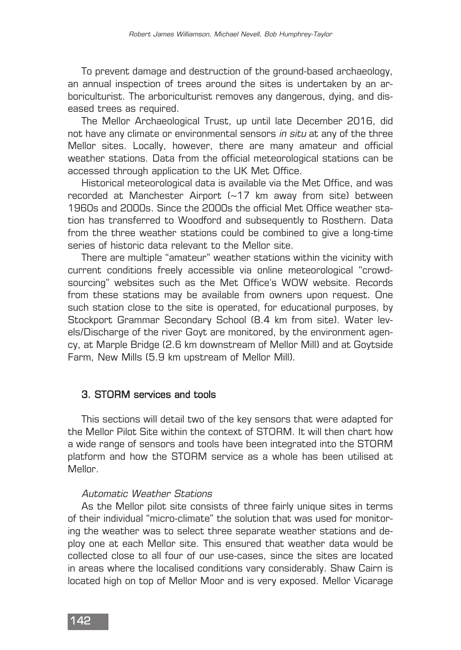To prevent damage and destruction of the ground-based archaeology, an annual inspection of trees around the sites is undertaken by an arboriculturist. The arboriculturist removes any dangerous, dying, and diseased trees as required.

The Mellor Archaeological Trust, up until late December 2016, did not have any climate or environmental sensors in situ at any of the three Mellor sites. Locally, however, there are many amateur and official weather stations. Data from the official meteorological stations can be accessed through application to the UK Met Office.

Historical meteorological data is available via the Met Office, and was recorded at Manchester Airport (~17 km away from site) between 1960s and 2000s. Since the 2000s the official Met Office weather station has transferred to Woodford and subsequently to Rosthern. Data from the three weather stations could be combined to give a long-time series of historic data relevant to the Mellor site.

There are multiple "amateur" weather stations within the vicinity with current conditions freely accessible via online meteorological "crowdsourcing" websites such as the Met Office's WOW website. Records from these stations may be available from owners upon request. One such station close to the site is operated, for educational purposes, by Stockport Grammar Secondary School (8.4 km from site). Water levels/Discharge of the river Goyt are monitored, by the environment agency, at Marple Bridge (2.6 km downstream of Mellor Mill) and at Goytside Farm, New Mills (5.9 km upstream of Mellor Mill).

#### 3. STORM services and tools

This sections will detail two of the key sensors that were adapted for the Mellor Pilot Site within the context of STORM. It will then chart how a wide range of sensors and tools have been integrated into the STORM platform and how the STORM service as a whole has been utilised at Mellor.

#### Automatic Weather Stations

As the Mellor pilot site consists of three fairly unique sites in terms of their individual "micro-climate" the solution that was used for monitoring the weather was to select three separate weather stations and deploy one at each Mellor site. This ensured that weather data would be collected close to all four of our use-cases, since the sites are located in areas where the localised conditions vary considerably. Shaw Cairn is located high on top of Mellor Moor and is very exposed. Mellor Vicarage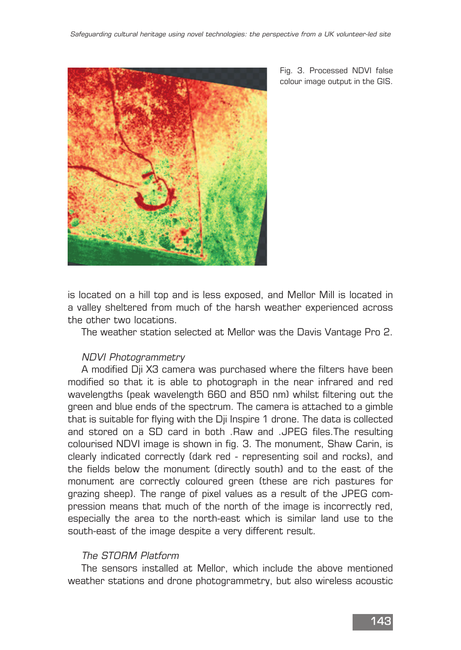

Fig. 3. Processed NDVI false colour image output in the GIS.

is located on a hill top and is less exposed, and Mellor Mill is located in a valley sheltered from much of the harsh weather experienced across the other two locations.

The weather station selected at Mellor was the Davis Vantage Pro 2.

#### NDVI Photogrammetry

A modified Dji X3 camera was purchased where the filters have been modified so that it is able to photograph in the near infrared and red wavelengths (peak wavelength 660 and 850 nm) whilst filtering out the green and blue ends of the spectrum. The camera is attached to a gimble that is suitable for flying with the Dji Inspire 1 drone. The data is collected and stored on a SD card in both .Raw and .JPEG files.The resulting colourised NDVI image is shown in fig. 3. The monument, Shaw Carin, is clearly indicated correctly (dark red - representing soil and rocks), and the fields below the monument (directly south) and to the east of the monument are correctly coloured green (these are rich pastures for grazing sheep). The range of pixel values as a result of the JPEG compression means that much of the north of the image is incorrectly red, especially the area to the north-east which is similar land use to the south-east of the image despite a very different result.

#### The STORM Platform

The sensors installed at Mellor, which include the above mentioned weather stations and drone photogrammetry, but also wireless acoustic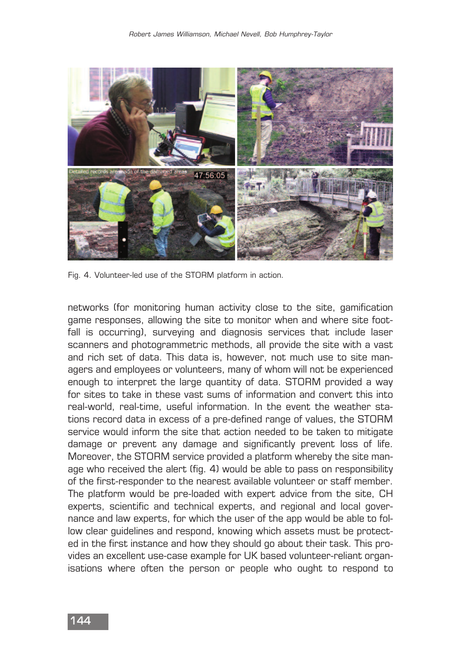

Fig. 4. Volunteer-led use of the STORM platform in action.

networks (for monitoring human activity close to the site, gamification game responses, allowing the site to monitor when and where site footfall is occurring), surveying and diagnosis services that include laser scanners and photogrammetric methods, all provide the site with a vast and rich set of data. This data is, however, not much use to site managers and employees or volunteers, many of whom will not be experienced enough to interpret the large quantity of data. STORM provided a way for sites to take in these vast sums of information and convert this into real-world, real-time, useful information. In the event the weather stations record data in excess of a pre-defined range of values, the STORM service would inform the site that action needed to be taken to mitigate damage or prevent any damage and significantly prevent loss of life. Moreover, the STORM service provided a platform whereby the site manage who received the alert (fig. 4) would be able to pass on responsibility of the first-responder to the nearest available volunteer or staff member. The platform would be pre-loaded with expert advice from the site, CH experts, scientific and technical experts, and regional and local governance and law experts, for which the user of the app would be able to follow clear guidelines and respond, knowing which assets must be protected in the first instance and how they should go about their task. This provides an excellent use-case example for UK based volunteer-reliant organisations where often the person or people who ought to respond to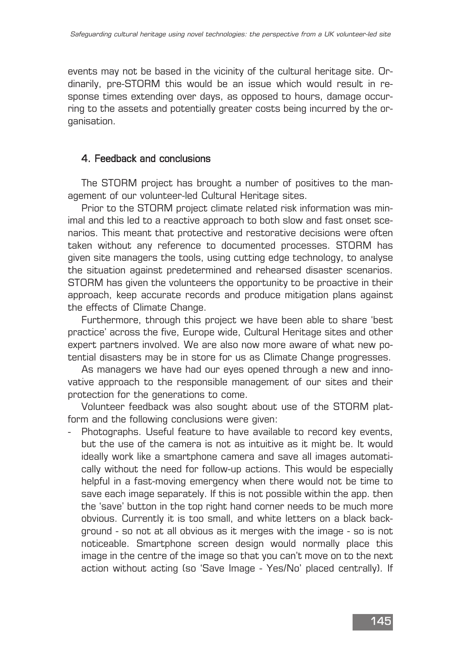events may not be based in the vicinity of the cultural heritage site. Ordinarily, pre-STORM this would be an issue which would result in response times extending over days, as opposed to hours, damage occurring to the assets and potentially greater costs being incurred by the organisation.

#### 4. Feedback and conclusions

The STORM project has brought a number of positives to the management of our volunteer-led Cultural Heritage sites.

Prior to the STORM project climate related risk information was minimal and this led to a reactive approach to both slow and fast onset scenarios. This meant that protective and restorative decisions were often taken without any reference to documented processes. STORM has given site managers the tools, using cutting edge technology, to analyse the situation against predetermined and rehearsed disaster scenarios. STORM has given the volunteers the opportunity to be proactive in their approach, keep accurate records and produce mitigation plans against the effects of Climate Change.

Furthermore, through this project we have been able to share 'best practice' across the five, Europe wide, Cultural Heritage sites and other expert partners involved. We are also now more aware of what new potential disasters may be in store for us as Climate Change progresses.

As managers we have had our eyes opened through a new and innovative approach to the responsible management of our sites and their protection for the generations to come.

Volunteer feedback was also sought about use of the STORM platform and the following conclusions were given:

Photographs. Useful feature to have available to record key events, but the use of the camera is not as intuitive as it might be. It would ideally work like a smartphone camera and save all images automatically without the need for follow-up actions. This would be especially helpful in a fast-moving emergency when there would not be time to save each image separately. If this is not possible within the app. then the 'save' button in the top right hand corner needs to be much more obvious. Currently it is too small, and white letters on a black background - so not at all obvious as it merges with the image - so is not noticeable. Smartphone screen design would normally place this image in the centre of the image so that you can't move on to the next action without acting (so 'Save Image - Yes/No' placed centrally). If